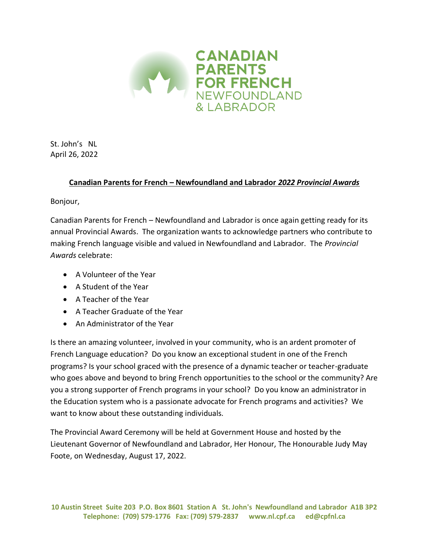

St. John's NL April 26, 2022

## **Canadian Parents for French – Newfoundland and Labrador** *2022 Provincial Awards*

Bonjour,

Canadian Parents for French – Newfoundland and Labrador is once again getting ready for its annual Provincial Awards. The organization wants to acknowledge partners who contribute to making French language visible and valued in Newfoundland and Labrador. The *Provincial Awards* celebrate:

- A Volunteer of the Year
- A Student of the Year
- A Teacher of the Year
- A Teacher Graduate of the Year
- An Administrator of the Year

Is there an amazing volunteer, involved in your community, who is an ardent promoter of French Language education? Do you know an exceptional student in one of the French programs? Is your school graced with the presence of a dynamic teacher or teacher-graduate who goes above and beyond to bring French opportunities to the school or the community? Are you a strong supporter of French programs in your school? Do you know an administrator in the Education system who is a passionate advocate for French programs and activities? We want to know about these outstanding individuals.

The Provincial Award Ceremony will be held at Government House and hosted by the Lieutenant Governor of Newfoundland and Labrador, Her Honour, The Honourable Judy May Foote, on Wednesday, August 17, 2022.